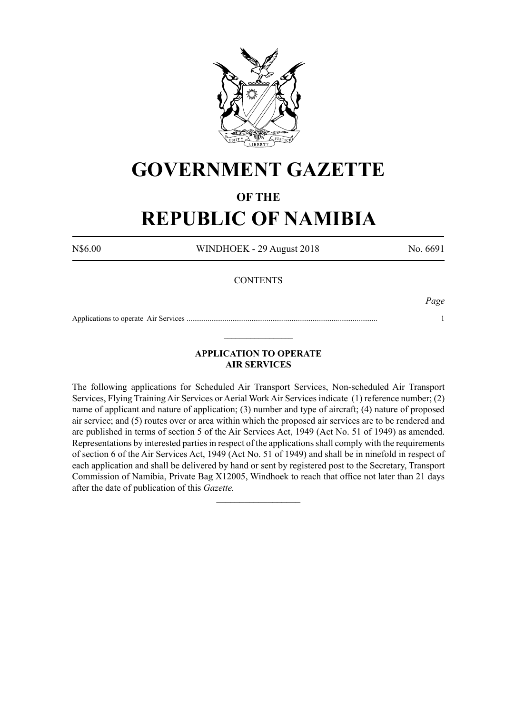

# **GOVERNMENT GAZETTE**

### **OF THE**

## **REPUBLIC OF NAMIBIA**

N\$6.00 WINDHOEK - 29 August 2018 No. 6691

#### **CONTENTS**

*Page*

Applications to operate Air Services .................................................................................................... 1  $\_$ 

#### **APPLICATION TO OPERATE AIR SERVICES**

The following applications for Scheduled Air Transport Services, Non-scheduled Air Transport Services, Flying Training Air Services or Aerial Work Air Services indicate (1) reference number; (2) name of applicant and nature of application; (3) number and type of aircraft; (4) nature of proposed air service; and (5) routes over or area within which the proposed air services are to be rendered and are published in terms of section 5 of the Air Services Act, 1949 (Act No. 51 of 1949) as amended. Representations by interested parties in respect of the applications shall comply with the requirements of section 6 of the Air Services Act, 1949 (Act No. 51 of 1949) and shall be in ninefold in respect of each application and shall be delivered by hand or sent by registered post to the Secretary, Transport Commission of Namibia, Private Bag X12005, Windhoek to reach that office not later than 21 days after the date of publication of this *Gazette.*

 $\frac{1}{2}$  ,  $\frac{1}{2}$  ,  $\frac{1}{2}$  ,  $\frac{1}{2}$  ,  $\frac{1}{2}$  ,  $\frac{1}{2}$  ,  $\frac{1}{2}$  ,  $\frac{1}{2}$  ,  $\frac{1}{2}$  ,  $\frac{1}{2}$